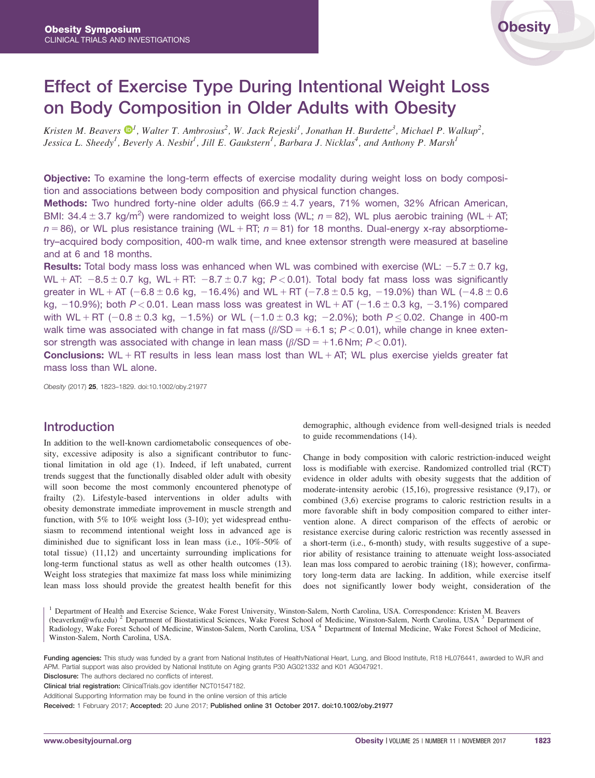# Effect of Exercise Type During Intentional Weight Loss on Body Composition in Older Adults with Obesity

Kristen M. Beavers  $\mathbf{D}^1$  $\mathbf{D}^1$ , Walter T. Ambrosius<sup>2</sup>, W. Jack Rejeski<sup>1</sup>, Jonathan H. Burdette<sup>3</sup>, Michael P. Walkup<sup>2</sup>, Jessica L. Sheedy<sup>1</sup>, Beverly A. Nesbit<sup>1</sup>, Jill E. Gaukstern<sup>1</sup>, Barbara J. Nicklas<sup>4</sup>, and Anthony P. Marsh<sup>1</sup>

**Objective:** To examine the long-term effects of exercise modality during weight loss on body composition and associations between body composition and physical function changes.

**Methods:** Two hundred forty-nine older adults  $(66.9 \pm 4.7 \text{ years}, 71\% \text{ women}, 32\%$  African American, BMI: 34.4  $\pm$  3.7 kg/m<sup>2</sup>) were randomized to weight loss (WL; n = 82), WL plus aerobic training (WL + AT;  $n = 86$ ), or WL plus resistance training (WL + RT;  $n = 81$ ) for 18 months. Dual-energy x-ray absorptiometry–acquired body composition, 400-m walk time, and knee extensor strength were measured at baseline and at 6 and 18 months.

**Results:** Total body mass loss was enhanced when WL was combined with exercise (WL:  $-5.7 \pm 0.7$  kg, WL + AT:  $-8.5 \pm 0.7$  kg, WL + RT:  $-8.7 \pm 0.7$  kg; P < 0.01). Total body fat mass loss was significantly greater in WL + AT (-6.8  $\pm$  0.6 kg, -16.4%) and WL + RT (-7.8  $\pm$  0.5 kg, -19.0%) than WL (-4.8  $\pm$  0.6 kg,  $-10.9\%$ ; both P < 0.01. Lean mass loss was greatest in WL + AT ( $-1.6 \pm 0.3$  kg,  $-3.1\%$ ) compared with WL+RT ( $-0.8\pm 0.3$  kg,  $-1.5\%$ ) or WL ( $-1.0\pm 0.3$  kg;  $-2.0\%$ ); both  $P$  $\leq$  0.02. Change in 400-m walk time was associated with change in fat mass  $(\beta/\text{SD} = +6.1 \text{ s}; P < 0.01)$ , while change in knee extensor strength was associated with change in lean mass  $(\beta/SD = +1.6$  Nm;  $P < 0.01$ ).

**Conclusions:** WL + RT results in less lean mass lost than WL + AT; WL plus exercise yields greater fat mass loss than WL alone.

Obesity (2017) 25, 1823–1829. doi:10.1002/oby.21977

## Introduction

In addition to the well-known cardiometabolic consequences of obesity, excessive adiposity is also a significant contributor to functional limitation in old age (1). Indeed, if left unabated, current trends suggest that the functionally disabled older adult with obesity will soon become the most commonly encountered phenotype of frailty (2). Lifestyle-based interventions in older adults with obesity demonstrate immediate improvement in muscle strength and function, with 5% to 10% weight loss (3-10); yet widespread enthusiasm to recommend intentional weight loss in advanced age is diminished due to significant loss in lean mass (i.e., 10%-50% of total tissue) (11,12) and uncertainty surrounding implications for long-term functional status as well as other health outcomes (13). Weight loss strategies that maximize fat mass loss while minimizing lean mass loss should provide the greatest health benefit for this

demographic, although evidence from well-designed trials is needed to guide recommendations (14).

Change in body composition with caloric restriction-induced weight loss is modifiable with exercise. Randomized controlled trial (RCT) evidence in older adults with obesity suggests that the addition of moderate-intensity aerobic (15,16), progressive resistance (9,17), or combined (3,6) exercise programs to caloric restriction results in a more favorable shift in body composition compared to either intervention alone. A direct comparison of the effects of aerobic or resistance exercise during caloric restriction was recently assessed in a short-term (i.e., 6-month) study, with results suggestive of a superior ability of resistance training to attenuate weight loss-associated lean mas loss compared to aerobic training (18); however, confirmatory long-term data are lacking. In addition, while exercise itself does not significantly lower body weight, consideration of the

<sup>1</sup> Department of Health and Exercise Science, Wake Forest University, Winston-Salem, North Carolina, USA. Correspondence: Kristen M. Beavers (beaverkm@wfu.edu) <sup>2</sup> Department of Biostatistical Sciences, Wake Forest School of Medicine, Winston-Salem, North Carolina, USA <sup>3</sup> Department of Radiology, Wake Forest School of Medicine, Winston-Salem, North Carolina, USA <sup>4</sup> Department of Internal Medicine, Wake Forest School of Medicine, Winston-Salem, North Carolina, USA.

Funding agencies: This study was funded by a grant from National Institutes of Health/National Heart, Lung, and Blood Institute, R18 HL076441, awarded to WJR and APM. Partial support was also provided by National Institute on Aging grants P30 AG021332 and K01 AG047921.

Disclosure: The authors declared no conflicts of interest.

Clinical trial registration: ClinicalTrials.gov identifier NCT01547182.

Additional Supporting Information may be found in the online version of this article

Received: 1 February 2017; Accepted: 20 June 2017; Published online 31 October 2017. doi:10.1002/oby.21977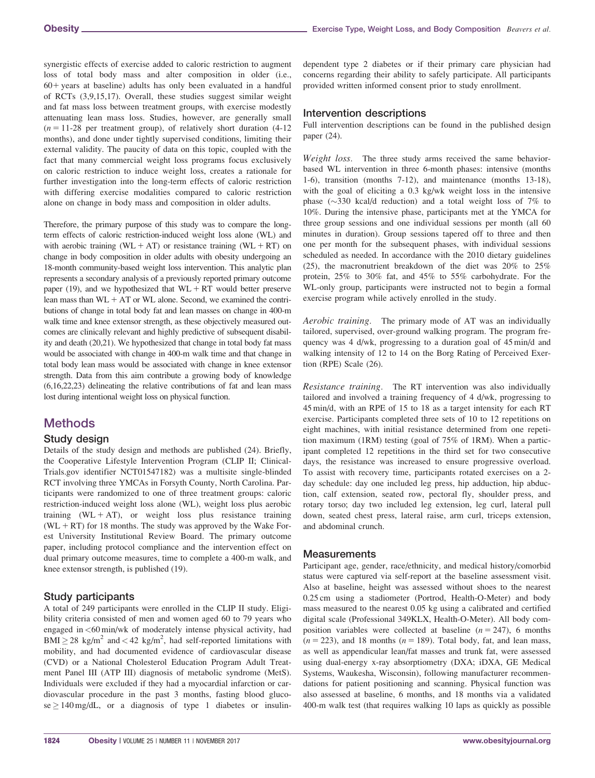synergistic effects of exercise added to caloric restriction to augment loss of total body mass and alter composition in older (i.e.,  $60+$  years at baseline) adults has only been evaluated in a handful of RCTs (3,9,15,17). Overall, these studies suggest similar weight and fat mass loss between treatment groups, with exercise modestly attenuating lean mass loss. Studies, however, are generally small  $(n = 11-28$  per treatment group), of relatively short duration (4-12) months), and done under tightly supervised conditions, limiting their external validity. The paucity of data on this topic, coupled with the fact that many commercial weight loss programs focus exclusively on caloric restriction to induce weight loss, creates a rationale for further investigation into the long-term effects of caloric restriction with differing exercise modalities compared to caloric restriction alone on change in body mass and composition in older adults.

Therefore, the primary purpose of this study was to compare the longterm effects of caloric restriction-induced weight loss alone (WL) and with aerobic training (WL + AT) or resistance training (WL + RT) on change in body composition in older adults with obesity undergoing an 18-month community-based weight loss intervention. This analytic plan represents a secondary analysis of a previously reported primary outcome paper (19), and we hypothesized that  $WL + RT$  would better preserve lean mass than  $WL + AT$  or  $WL$  alone. Second, we examined the contributions of change in total body fat and lean masses on change in 400-m walk time and knee extensor strength, as these objectively measured outcomes are clinically relevant and highly predictive of subsequent disability and death (20,21). We hypothesized that change in total body fat mass would be associated with change in 400-m walk time and that change in total body lean mass would be associated with change in knee extensor strength. Data from this aim contribute a growing body of knowledge (6,16,22,23) delineating the relative contributions of fat and lean mass lost during intentional weight loss on physical function.

# **Methods**

#### Study design

Details of the study design and methods are published (24). Briefly, the Cooperative Lifestyle Intervention Program (CLIP II; Clinical-Trials.gov identifier NCT01547182) was a multisite single-blinded RCT involving three YMCAs in Forsyth County, North Carolina. Participants were randomized to one of three treatment groups: caloric restriction-induced weight loss alone (WL), weight loss plus aerobic training  $(WL + AT)$ , or weight loss plus resistance training  $(WL + RT)$  for 18 months. The study was approved by the Wake Forest University Institutional Review Board. The primary outcome paper, including protocol compliance and the intervention effect on dual primary outcome measures, time to complete a 400-m walk, and knee extensor strength, is published (19).

#### Study participants

A total of 249 participants were enrolled in the CLIP II study. Eligibility criteria consisted of men and women aged 60 to 79 years who engaged in <60 min/wk of moderately intense physical activity, had  $\text{BMI} \geq 28 \text{ kg/m}^2$  and  $\lt 42 \text{ kg/m}^2$ , had self-reported limitations with mobility, and had documented evidence of cardiovascular disease (CVD) or a National Cholesterol Education Program Adult Treatment Panel III (ATP III) diagnosis of metabolic syndrome (MetS). Individuals were excluded if they had a myocardial infarction or cardiovascular procedure in the past 3 months, fasting blood gluco $se \ge 140$  mg/dL, or a diagnosis of type 1 diabetes or insulindependent type 2 diabetes or if their primary care physician had concerns regarding their ability to safely participate. All participants provided written informed consent prior to study enrollment.

#### Intervention descriptions

Full intervention descriptions can be found in the published design paper (24).

Weight loss. The three study arms received the same behaviorbased WL intervention in three 6-month phases: intensive (months 1-6), transition (months 7-12), and maintenance (months 13-18), with the goal of eliciting a 0.3 kg/wk weight loss in the intensive phase  $(\sim)330$  kcal/d reduction) and a total weight loss of 7% to 10%. During the intensive phase, participants met at the YMCA for three group sessions and one individual sessions per month (all 60 minutes in duration). Group sessions tapered off to three and then one per month for the subsequent phases, with individual sessions scheduled as needed. In accordance with the 2010 dietary guidelines (25), the macronutrient breakdown of the diet was 20% to 25% protein, 25% to 30% fat, and 45% to 55% carbohydrate. For the WL-only group, participants were instructed not to begin a formal exercise program while actively enrolled in the study.

Aerobic training. The primary mode of AT was an individually tailored, supervised, over-ground walking program. The program frequency was 4 d/wk, progressing to a duration goal of 45 min/d and walking intensity of 12 to 14 on the Borg Rating of Perceived Exertion (RPE) Scale (26).

Resistance training. The RT intervention was also individually tailored and involved a training frequency of 4 d/wk, progressing to 45 min/d, with an RPE of 15 to 18 as a target intensity for each RT exercise. Participants completed three sets of 10 to 12 repetitions on eight machines, with initial resistance determined from one repetition maximum (1RM) testing (goal of 75% of 1RM). When a participant completed 12 repetitions in the third set for two consecutive days, the resistance was increased to ensure progressive overload. To assist with recovery time, participants rotated exercises on a 2 day schedule: day one included leg press, hip adduction, hip abduction, calf extension, seated row, pectoral fly, shoulder press, and rotary torso; day two included leg extension, leg curl, lateral pull down, seated chest press, lateral raise, arm curl, triceps extension, and abdominal crunch.

#### **Measurements**

Participant age, gender, race/ethnicity, and medical history/comorbid status were captured via self-report at the baseline assessment visit. Also at baseline, height was assessed without shoes to the nearest 0.25 cm using a stadiometer (Portrod, Health-O-Meter) and body mass measured to the nearest 0.05 kg using a calibrated and certified digital scale (Professional 349KLX, Health-O-Meter). All body composition variables were collected at baseline  $(n = 247)$ , 6 months  $(n = 223)$ , and 18 months  $(n = 189)$ . Total body, fat, and lean mass, as well as appendicular lean/fat masses and trunk fat, were assessed using dual-energy x-ray absorptiometry (DXA; iDXA, GE Medical Systems, Waukesha, Wisconsin), following manufacturer recommendations for patient positioning and scanning. Physical function was also assessed at baseline, 6 months, and 18 months via a validated 400-m walk test (that requires walking 10 laps as quickly as possible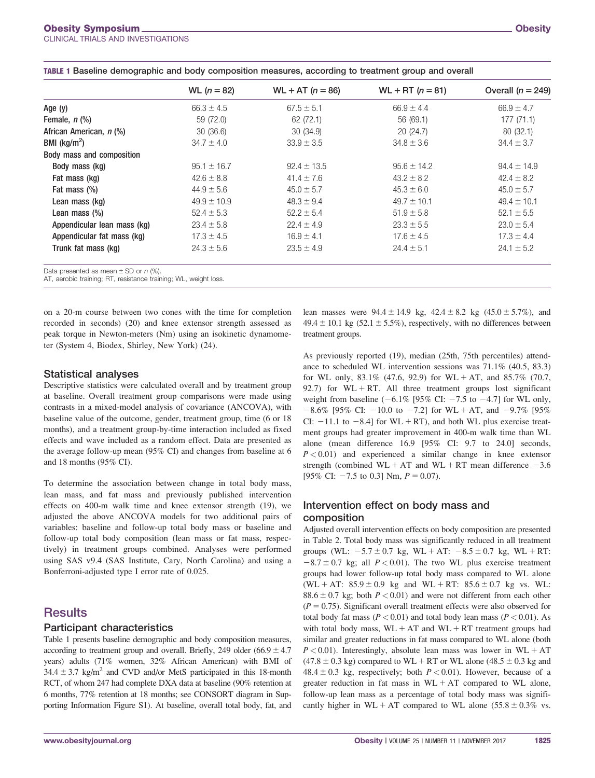|                                                       | WL $(n = 82)$  | $WL + AT (n = 86)$ | $WL + RT (n = 81)$ | Overall $(n = 249)$ |
|-------------------------------------------------------|----------------|--------------------|--------------------|---------------------|
| Age (y)                                               | $66.3 \pm 4.5$ | $67.5 \pm 5.1$     | $66.9 \pm 4.4$     | $66.9 \pm 4.7$      |
| Female, n (%)                                         | 59 (72.0)      | 62 (72.1)          | 56 (69.1)          | 177(71.1)           |
| African American, n (%)                               | 30(36.6)       | 30 (34.9)          | 20(24.7)           | 80 (32.1)           |
|                                                       | $34.7 \pm 4.0$ | $33.9 \pm 3.5$     | $34.8 \pm 3.6$     | $34.4 \pm 3.7$      |
| BMI (kg/m <sup>2</sup> )<br>Body mass and composition |                |                    |                    |                     |

|  | TABLE 1 Baseline demographic and body composition measures, according to treatment group and overall |  |  |  |  |
|--|------------------------------------------------------------------------------------------------------|--|--|--|--|
|  |                                                                                                      |  |  |  |  |

**Body mass (kg)** 95.1  $\pm$  16.7 92.4  $\pm$  13.5 95.6  $\pm$  14.2 94.4  $\pm$  14.9 **Fat mass (kg)** 42.4  $\pm$  8.8 42.6  $\pm$  8.8 41.4  $\pm$  7.6 43.2  $\pm$  8.2 42.4  $\pm$  8.2 **Fat mass (%)** 45.0  $\pm$  5.6 44.9  $\pm$  5.6 45.0  $\pm$  5.7 45.3  $\pm$  6.0 45.0  $\pm$  5.7 45.0  $\pm$  5.7 **Lean mass (kg)** 49.9  $\pm$  10.9 49.9  $\pm$  10.9 48.3  $\pm$  9.4 49.7  $\pm$  10.1 49.4  $\pm$  10.1 **Lean mass (%)** 52.4  $\pm$  5.3 52.4  $\pm$  5.3 52.1  $\pm$  5.5 52.1  $\pm$  5.5 52.1  $\pm$  5.5 **Appendicular lean mass (kg)**  $23.4 \pm 5.8$   $22.4 \pm 4.9$   $23.3 \pm 5.5$   $23.0 \pm 5.4$ **Appendicular fat mass (kg)** 17.3  $\pm$  4.5 17.3  $\pm$  4.5 17.3 6  $\pm$  4.5 17.3  $\pm$  4.4 **Trunk fat mass (kg)** 24.3 ± 5.6 23.5 ± 4.9 24.4 ± 5.1 24.1 ± 5.2

Data presented as mean  $\pm$  SD or n (%).

AT, aerobic training; RT, resistance training; WL, weight loss.

on a 20-m course between two cones with the time for completion recorded in seconds) (20) and knee extensor strength assessed as peak torque in Newton-meters (Nm) using an isokinetic dynamometer (System 4, Biodex, Shirley, New York) (24).

#### Statistical analyses

Descriptive statistics were calculated overall and by treatment group at baseline. Overall treatment group comparisons were made using contrasts in a mixed-model analysis of covariance (ANCOVA), with baseline value of the outcome, gender, treatment group, time (6 or 18 months), and a treatment group-by-time interaction included as fixed effects and wave included as a random effect. Data are presented as the average follow-up mean (95% CI) and changes from baseline at 6 and 18 months (95% CI).

To determine the association between change in total body mass, lean mass, and fat mass and previously published intervention effects on 400-m walk time and knee extensor strength (19), we adjusted the above ANCOVA models for two additional pairs of variables: baseline and follow-up total body mass or baseline and follow-up total body composition (lean mass or fat mass, respectively) in treatment groups combined. Analyses were performed using SAS v9.4 (SAS Institute, Cary, North Carolina) and using a Bonferroni-adjusted type I error rate of 0.025.

## **Results**

#### Participant characteristics

Table 1 presents baseline demographic and body composition measures, according to treatment group and overall. Briefly, 249 older (66.9  $\pm$  4.7 years) adults (71% women, 32% African American) with BMI of  $34.4 \pm 3.7$  kg/m<sup>2</sup> and CVD and/or MetS participated in this 18-month RCT, of whom 247 had complete DXA data at baseline (90% retention at 6 months, 77% retention at 18 months; see CONSORT diagram in Supporting Information Figure S1). At baseline, overall total body, fat, and

lean masses were  $94.4 \pm 14.9$  kg,  $42.4 \pm 8.2$  kg  $(45.0 \pm 5.7\%)$ , and  $49.4 \pm 10.1$  kg (52.1  $\pm$  5.5%), respectively, with no differences between treatment groups.

As previously reported (19), median (25th, 75th percentiles) attendance to scheduled WL intervention sessions was 71.1% (40.5, 83.3) for WL only,  $83.1\%$  (47.6, 92.9) for WL + AT, and  $85.7\%$  (70.7, 92.7) for  $WL + RT$ . All three treatment groups lost significant weight from baseline  $(-6.1\%$  [95% CI:  $-7.5$  to  $-4.7$ ] for WL only,  $-8.6\%$  [95% CI:  $-10.0$  to  $-7.2$ ] for WL + AT, and  $-9.7\%$  [95% CI:  $-11.1$  to  $-8.4$ ] for WL + RT), and both WL plus exercise treatment groups had greater improvement in 400-m walk time than WL alone (mean difference 16.9 [95% CI: 9.7 to 24.0] seconds,  $P < 0.01$ ) and experienced a similar change in knee extensor strength (combined  $WL + AT$  and  $WL + RT$  mean difference  $-3.6$ [95% CI:  $-7.5$  to 0.3] Nm,  $P = 0.07$ ).

### Intervention effect on body mass and composition

Adjusted overall intervention effects on body composition are presented in Table 2. Total body mass was significantly reduced in all treatment groups (WL:  $-5.7 \pm 0.7$  kg, WL + AT:  $-8.5 \pm 0.7$  kg, WL + RT:  $-8.7 \pm 0.7$  kg; all  $P < 0.01$ ). The two WL plus exercise treatment groups had lower follow-up total body mass compared to WL alone  $(WL + AT: 85.9 \pm 0.9$  kg and  $WL + RT: 85.6 \pm 0.7$  kg vs. WL: 88.6  $\pm$  0.7 kg; both  $P < 0.01$ ) and were not different from each other  $(P = 0.75)$ . Significant overall treatment effects were also observed for total body fat mass ( $P < 0.01$ ) and total body lean mass ( $P < 0.01$ ). As with total body mass,  $WL + AT$  and  $WL + RT$  treatment groups had similar and greater reductions in fat mass compared to WL alone (both  $P < 0.01$ ). Interestingly, absolute lean mass was lower in WL + AT  $(47.8 \pm 0.3 \text{ kg})$  compared to WL + RT or WL alone  $(48.5 \pm 0.3 \text{ kg})$  and  $48.4 \pm 0.3$  kg, respectively; both  $P < 0.01$ ). However, because of a greater reduction in fat mass in  $WL + AT$  compared to  $WL$  alone, follow-up lean mass as a percentage of total body mass was significantly higher in WL + AT compared to WL alone  $(55.8 \pm 0.3\% \text{ vs.})$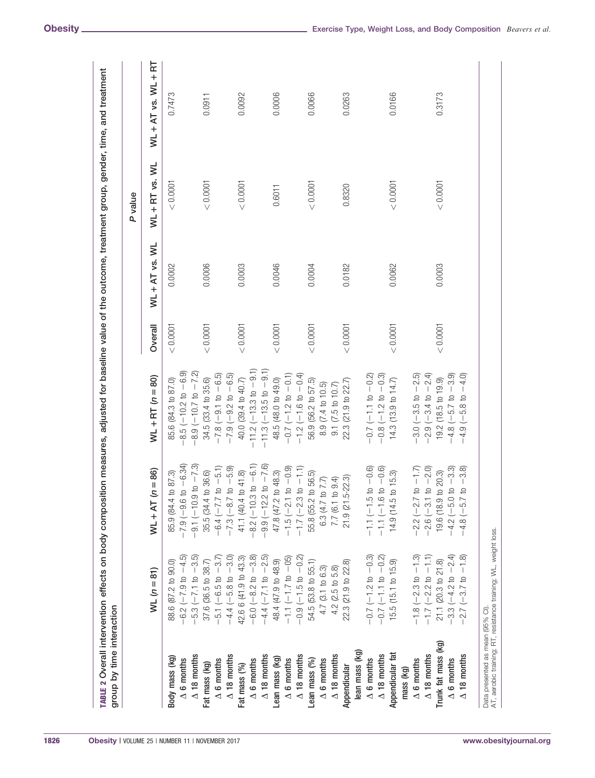|                     |                                                                  |                                                                  |                                                                       |           |                  | P value        |                          |
|---------------------|------------------------------------------------------------------|------------------------------------------------------------------|-----------------------------------------------------------------------|-----------|------------------|----------------|--------------------------|
|                     | $WL(n = 81)$                                                     | $WL + AT (n = 86)$                                               | $WL + RT (n = 80)$                                                    | Overall   | $WL + AT$ vs. WL | WL + RT vs. WL | $W-L + AT$ vs. $WL + RT$ |
| Body mass (kg)      | 88.6 (87.2 to 90.0)                                              | 85.9 (84.4 to 87.3)                                              | 85.6 (84.3 to 87.0)                                                   | < 0.0001  | 0.0002           | < 0.0001       | 0.7473                   |
| $\Delta$ 6 months   | $-6.2$ ( $-7.9$ to $-4.5$ )                                      | $-7.9(-9.6 \text{ to } -6.34)$                                   | $-8.5(-10.2 \text{ to } -6.9)$                                        |           |                  |                |                          |
| $\Delta$ 18 months  | $-5.3 (-7.1 \text{ to } -3.5)$                                   | $-9.1 (-10.9 \text{ to } -7.3)$                                  | $-8.9(-10.7 \text{ to } -7.2)$                                        |           |                  |                |                          |
| Fat mass (kg)       | 37.6 (36.5 to 38.7)                                              | 35.5 (34.4 to 36.6)                                              | 34.5 (33.4 to 35.6)                                                   | < 0.0001  | 0.0006           | < 0.0001       | 0.0911                   |
| $\Delta$ 6 months   | $-5.1 (-6.5 \text{ to } -3.7)$                                   | $-6.4 (-7.7 \text{ to } -5.1)$<br>-7.3 (-8.7 to -5.9)            | $-7.8 (-9.1 \text{ to } -6.5)$                                        |           |                  |                |                          |
| $\Delta$ 18 months  | $-4.4 (-5.8 t0 -3.0)$                                            |                                                                  | $-7.9$ $(-9.2$ to $-6.5)$                                             |           |                  |                |                          |
| Fat mass (%)        | 42.6 6 (41.9 to 43.3)<br>-6.0 (-8.2 to -3.8)                     | 41.1 (40.4 to 41.8)                                              | 40.0 (39.4 to 40.7)                                                   | < 0.0001  | 0.0003           | < 0.0001       | 0.0092                   |
| $\Delta$ 6 months   |                                                                  | $-8.2 (-10.3 \text{ to } -6.1)$<br>-9.9 (-12.2 to -7.6)          | $-11.2$ ( $-13.3$ to $-9.1$ )                                         |           |                  |                |                          |
| $\Delta$ 18 months  | $-4.4 (-7.1 \text{ to } -2.5)$                                   |                                                                  | $-11.3(-13.5 to -9.1)$                                                |           |                  |                |                          |
| Lean mass (kg)      | 48.4 (47.9 to 48.9)                                              | 47.8 (47.2 to 48.3)                                              | 48.5 (48.0 to 49.0)<br>$-0.7$ (-1.2 to -0.1)<br>$-1.2$ (-1.6 to -0.4) | < 0.0001  | 0.0046           | 0.6011         | 0.0006                   |
| $\Delta$ 6 months   | $-1.1$ ( $-1.7$ to $-05$ )<br>-0.9 ( $-1.5$ to $-0.2$ )          |                                                                  |                                                                       |           |                  |                |                          |
| $\Delta$ 18 months  |                                                                  | $-1.5 (-2.1 \text{ to } -0.9)$<br>$-1.7 (-2.3 \text{ to } -1.1)$ |                                                                       |           |                  |                |                          |
| Lean mass (%)       | 54.5 (53.8 to 55.1)                                              | 55.8 (55.2 to 56.5)                                              | 56.9 (56.2 to 57.5)                                                   | $<0.0001$ | 0.0004           | < 0.0001       | 0.0066                   |
| $\Delta$ 6 months   | $4.7(3.1 \text{ to } 6.3)$                                       | 6.3 (4.7 to 7.7)                                                 | 8.9 (7.4 to 10.5)                                                     |           |                  |                |                          |
| $\Delta$ 18 months  | $4.2$ (2.5 to 5.8)                                               | 7.7 (6.1 to 9.4)                                                 | 9.1 (7.5 to 10.7)                                                     |           |                  |                |                          |
| Appendicular        | 22.3 (21.9 to 22.8)                                              | $-22.3$<br>21.9 (21.5                                            | 22.3 (21.9 to 22.7)                                                   | < 0.0001  | 0.0182           | 0.8320         | 0.0263                   |
| lean mass (kg)      |                                                                  |                                                                  |                                                                       |           |                  |                |                          |
| $\Delta$ 6 months   |                                                                  |                                                                  | $-0.7$ (-1.1 to $-0.2$ )                                              |           |                  |                |                          |
| $\Delta$ 18 months  | $-0.7$ (-1.2 to $-0.3$ )<br>-0.7 (-1.1 to $-0.2$ )               | $-1.1$ ( $-1.5$ to $-0.6$ )<br>$-1.1$ ( $-1.6$ to $-0.6$ )       | $-0.8(-1.2 \text{ to } -0.3)$                                         |           |                  |                |                          |
| Appendicular fat    | 15.5 (15.1 to 15.9)                                              | 14.9 (14.5 to 15.3)                                              | 14.3 (13.9 to 14.7)                                                   | < 0.0001  | 0.0062           | < 0.0001       | 0.0166                   |
| mass (kg)           |                                                                  |                                                                  |                                                                       |           |                  |                |                          |
| $\Delta$ 6 months   | $-1.8 (-2.3 \text{ to } -1.3)$<br>$-1.7 (-2.2 \text{ to } -1.1)$ | $-2.2$ ( $-2.7$ to $-1.7$ )                                      | $-3.0(-3.5 \text{ to } -2.5)$                                         |           |                  |                |                          |
| $\Delta$ 18 months  |                                                                  | $-2.6$ ( $-3.1$ to $-2.0$ )                                      | $-2.9(-3.4 \text{ to } -2.4)$                                         |           |                  |                |                          |
| Trunk fat mass (kg) | 21.1 (20.3 to 21.8)<br>-3.3 (-4.2 to $-2.4$ )                    | 19.6 (18.9 to 20.3)                                              | 19.2 (18.5 to 19.9)                                                   | < 0.0001  | 0.0003           | < 0.0001       | 0.3173                   |
| $\Delta$ 6 months   |                                                                  | $-4.2$ (-5.0 to -3.3)                                            | $-4.8$ (-5.7 to -3.9)                                                 |           |                  |                |                          |
| $\Delta$ 18 months  | $2.7 (-3.7 \text{ to } -1.8)$                                    | $to -3.8$<br>$-4.8 (-5.7)$                                       | $4.9(-5.8 \text{ to } -4.0)$                                          |           |                  |                |                          |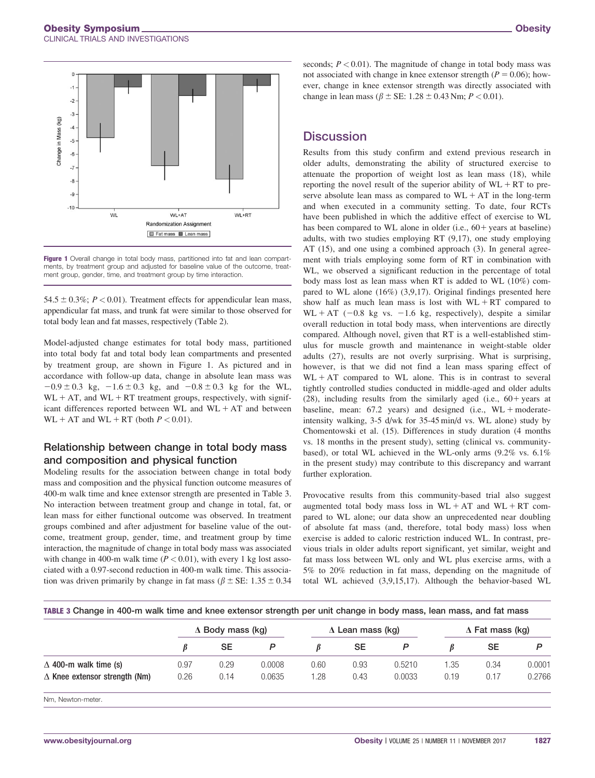

**Figure 1** Overall change in total body mass, partitioned into fat and lean compartments, by treatment group and adjusted for baseline value of the outcome, treatment group, gender, time, and treatment group by time interaction.

54.5  $\pm$  0.3%; P < 0.01). Treatment effects for appendicular lean mass, appendicular fat mass, and trunk fat were similar to those observed for total body lean and fat masses, respectively (Table 2).

Model-adjusted change estimates for total body mass, partitioned into total body fat and total body lean compartments and presented by treatment group, are shown in Figure 1. As pictured and in accordance with follow-up data, change in absolute lean mass was  $-0.9 \pm 0.3$  kg,  $-1.6 \pm 0.3$  kg, and  $-0.8 \pm 0.3$  kg for the WL,  $WL + AT$ , and  $WL + RT$  treatment groups, respectively, with significant differences reported between  $WL$  and  $WL + AT$  and between  $WL + AT$  and  $WL + RT$  (both  $P < 0.01$ ).

## Relationship between change in total body mass and composition and physical function

Modeling results for the association between change in total body mass and composition and the physical function outcome measures of 400-m walk time and knee extensor strength are presented in Table 3. No interaction between treatment group and change in total, fat, or lean mass for either functional outcome was observed. In treatment groups combined and after adjustment for baseline value of the outcome, treatment group, gender, time, and treatment group by time interaction, the magnitude of change in total body mass was associated with change in 400-m walk time ( $P < 0.01$ ), with every 1 kg lost associated with a 0.97-second reduction in 400-m walk time. This association was driven primarily by change in fat mass ( $\beta \pm$  SE: 1.35  $\pm$  0.34

seconds;  $P < 0.01$ ). The magnitude of change in total body mass was not associated with change in knee extensor strength ( $P = 0.06$ ); however, change in knee extensor strength was directly associated with change in lean mass ( $\beta \pm \text{SE}$ : 1.28  $\pm$  0.43 Nm;  $P < 0.01$ ).

## **Discussion**

Results from this study confirm and extend previous research in older adults, demonstrating the ability of structured exercise to attenuate the proportion of weight lost as lean mass (18), while reporting the novel result of the superior ability of  $WL + RT$  to preserve absolute lean mass as compared to  $WL + AT$  in the long-term and when executed in a community setting. To date, four RCTs have been published in which the additive effect of exercise to WL has been compared to WL alone in older (i.e.,  $60+$  years at baseline) adults, with two studies employing RT (9,17), one study employing AT (15), and one using a combined approach (3). In general agreement with trials employing some form of RT in combination with WL, we observed a significant reduction in the percentage of total body mass lost as lean mass when RT is added to WL (10%) compared to WL alone (16%) (3,9,17). Original findings presented here show half as much lean mass is lost with  $WL + RT$  compared to  $WL + AT$  (-0.8 kg vs. -1.6 kg, respectively), despite a similar overall reduction in total body mass, when interventions are directly compared. Although novel, given that RT is a well-established stimulus for muscle growth and maintenance in weight-stable older adults (27), results are not overly surprising. What is surprising, however, is that we did not find a lean mass sparing effect of  $WL + AT$  compared to WL alone. This is in contrast to several tightly controlled studies conducted in middle-aged and older adults  $(28)$ , including results from the similarly aged (i.e.,  $60+$  years at baseline, mean:  $67.2$  years) and designed (i.e.,  $WL + moderate$ intensity walking, 3-5 d/wk for 35-45 min/d vs. WL alone) study by Chomentowski et al. (15). Differences in study duration (4 months vs. 18 months in the present study), setting (clinical vs. communitybased), or total WL achieved in the WL-only arms (9.2% vs. 6.1% in the present study) may contribute to this discrepancy and warrant further exploration.

Provocative results from this community-based trial also suggest augmented total body mass loss in  $WL + AT$  and  $WL + RT$  compared to WL alone; our data show an unprecedented near doubling of absolute fat mass (and, therefore, total body mass) loss when exercise is added to caloric restriction induced WL. In contrast, previous trials in older adults report significant, yet similar, weight and fat mass loss between WL only and WL plus exercise arms, with a 5% to 20% reduction in fat mass, depending on the magnitude of total WL achieved (3,9,15,17). Although the behavior-based WL

|  | TABLE 3 Change in 400-m walk time and knee extensor strength per unit change in body mass, lean mass, and fat mass |  |  |  |
|--|--------------------------------------------------------------------------------------------------------------------|--|--|--|
|  |                                                                                                                    |  |  |  |

|                                      |      | $\Delta$ Body mass (kg) |        |      | $\Delta$ Lean mass (kg) |        |      | $\Delta$ Fat mass (kg) |        |  |
|--------------------------------------|------|-------------------------|--------|------|-------------------------|--------|------|------------------------|--------|--|
|                                      |      | SE                      |        |      | SE                      |        |      | SE                     |        |  |
| $\Delta$ 400-m walk time (s)         | 0.97 | 0.29                    | 0.0008 | 0.60 | 0.93                    | 0.5210 | 1.35 | 0.34                   | 0.0001 |  |
| $\Delta$ Knee extensor strength (Nm) | 0.26 | 0.14                    | 0.0635 | 1.28 | 0.43                    | 0.0033 | 0.19 | 0.17                   | 0.2766 |  |

Nm, Newton-meter.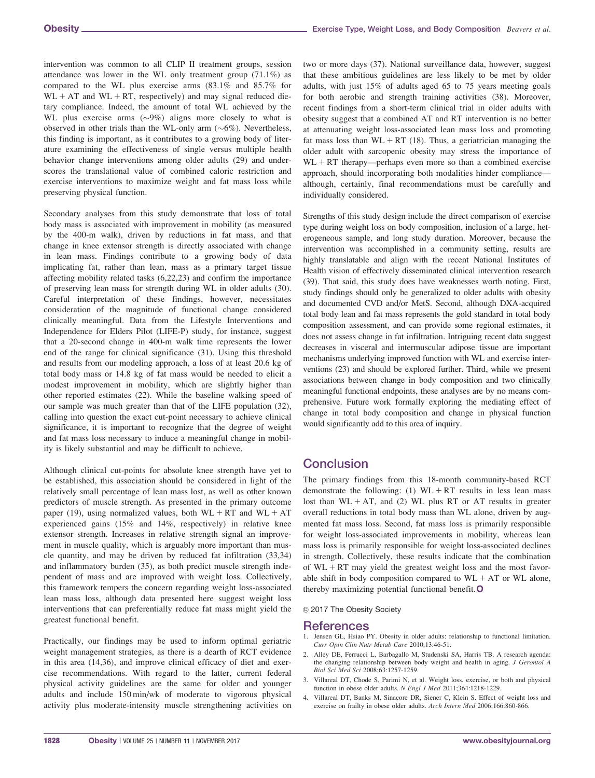intervention was common to all CLIP II treatment groups, session attendance was lower in the WL only treatment group (71.1%) as compared to the WL plus exercise arms (83.1% and 85.7% for  $WL + AT$  and  $WL + RT$ , respectively) and may signal reduced dietary compliance. Indeed, the amount of total WL achieved by the WL plus exercise arms  $(\sim 9\%)$  aligns more closely to what is observed in other trials than the WL-only arm  $(\sim 6\%)$ . Nevertheless, this finding is important, as it contributes to a growing body of literature examining the effectiveness of single versus multiple health behavior change interventions among older adults (29) and underscores the translational value of combined caloric restriction and exercise interventions to maximize weight and fat mass loss while preserving physical function.

Secondary analyses from this study demonstrate that loss of total body mass is associated with improvement in mobility (as measured by the 400-m walk), driven by reductions in fat mass, and that change in knee extensor strength is directly associated with change in lean mass. Findings contribute to a growing body of data implicating fat, rather than lean, mass as a primary target tissue affecting mobility related tasks (6,22,23) and confirm the importance of preserving lean mass for strength during WL in older adults (30). Careful interpretation of these findings, however, necessitates consideration of the magnitude of functional change considered clinically meaningful. Data from the Lifestyle Interventions and Independence for Elders Pilot (LIFE-P) study, for instance, suggest that a 20-second change in 400-m walk time represents the lower end of the range for clinical significance (31). Using this threshold and results from our modeling approach, a loss of at least 20.6 kg of total body mass or 14.8 kg of fat mass would be needed to elicit a modest improvement in mobility, which are slightly higher than other reported estimates (22). While the baseline walking speed of our sample was much greater than that of the LIFE population (32), calling into question the exact cut-point necessary to achieve clinical significance, it is important to recognize that the degree of weight and fat mass loss necessary to induce a meaningful change in mobility is likely substantial and may be difficult to achieve.

Although clinical cut-points for absolute knee strength have yet to be established, this association should be considered in light of the relatively small percentage of lean mass lost, as well as other known predictors of muscle strength. As presented in the primary outcome paper (19), using normalized values, both  $WL + RT$  and  $WL + AT$ experienced gains (15% and 14%, respectively) in relative knee extensor strength. Increases in relative strength signal an improvement in muscle quality, which is arguably more important than muscle quantity, and may be driven by reduced fat infiltration (33,34) and inflammatory burden (35), as both predict muscle strength independent of mass and are improved with weight loss. Collectively, this framework tempers the concern regarding weight loss-associated lean mass loss, although data presented here suggest weight loss interventions that can preferentially reduce fat mass might yield the greatest functional benefit.

Practically, our findings may be used to inform optimal geriatric weight management strategies, as there is a dearth of RCT evidence in this area (14,36), and improve clinical efficacy of diet and exercise recommendations. With regard to the latter, current federal physical activity guidelines are the same for older and younger adults and include 150 min/wk of moderate to vigorous physical activity plus moderate-intensity muscle strengthening activities on two or more days (37). National surveillance data, however, suggest that these ambitious guidelines are less likely to be met by older adults, with just 15% of adults aged 65 to 75 years meeting goals for both aerobic and strength training activities (38). Moreover, recent findings from a short-term clinical trial in older adults with obesity suggest that a combined AT and RT intervention is no better at attenuating weight loss-associated lean mass loss and promoting fat mass loss than  $WL + RT$  (18). Thus, a geriatrician managing the older adult with sarcopenic obesity may stress the importance of  $WL + RT$  therapy—perhaps even more so than a combined exercise approach, should incorporating both modalities hinder compliance although, certainly, final recommendations must be carefully and individually considered.

Strengths of this study design include the direct comparison of exercise type during weight loss on body composition, inclusion of a large, heterogeneous sample, and long study duration. Moreover, because the intervention was accomplished in a community setting, results are highly translatable and align with the recent National Institutes of Health vision of effectively disseminated clinical intervention research (39). That said, this study does have weaknesses worth noting. First, study findings should only be generalized to older adults with obesity and documented CVD and/or MetS. Second, although DXA-acquired total body lean and fat mass represents the gold standard in total body composition assessment, and can provide some regional estimates, it does not assess change in fat infiltration. Intriguing recent data suggest decreases in visceral and intermuscular adipose tissue are important mechanisms underlying improved function with WL and exercise interventions (23) and should be explored further. Third, while we present associations between change in body composition and two clinically meaningful functional endpoints, these analyses are by no means comprehensive. Future work formally exploring the mediating effect of change in total body composition and change in physical function would significantly add to this area of inquiry.

# **Conclusion**

The primary findings from this 18-month community-based RCT demonstrate the following: (1)  $WL + RT$  results in less lean mass lost than  $WL + AT$ , and (2) WL plus RT or AT results in greater overall reductions in total body mass than WL alone, driven by augmented fat mass loss. Second, fat mass loss is primarily responsible for weight loss-associated improvements in mobility, whereas lean mass loss is primarily responsible for weight loss-associated declines in strength. Collectively, these results indicate that the combination of  $WL + RT$  may yield the greatest weight loss and the most favorable shift in body composition compared to  $WL + AT$  or  $WL$  alone, thereby maximizing potential functional benefit.O

#### © 2017 The Obesity Society

#### References

- 1. Jensen GL, Hsiao PY. Obesity in older adults: relationship to functional limitation. Curr Opin Clin Nutr Metab Care 2010;13:46-51.
- 2. Alley DE, Ferrucci L, Barbagallo M, Studenski SA, Harris TB. A research agenda: the changing relationship between body weight and health in aging. J Gerontol A Biol Sci Med Sci 2008;63:1257-1259.
- 3. Villareal DT, Chode S, Parimi N, et al. Weight loss, exercise, or both and physical function in obese older adults. N Engl J Med 2011;364:1218-1229.
- 4. Villareal DT, Banks M, Sinacore DR, Siener C, Klein S. Effect of weight loss and exercise on frailty in obese older adults. Arch Intern Med 2006;166:860-866.